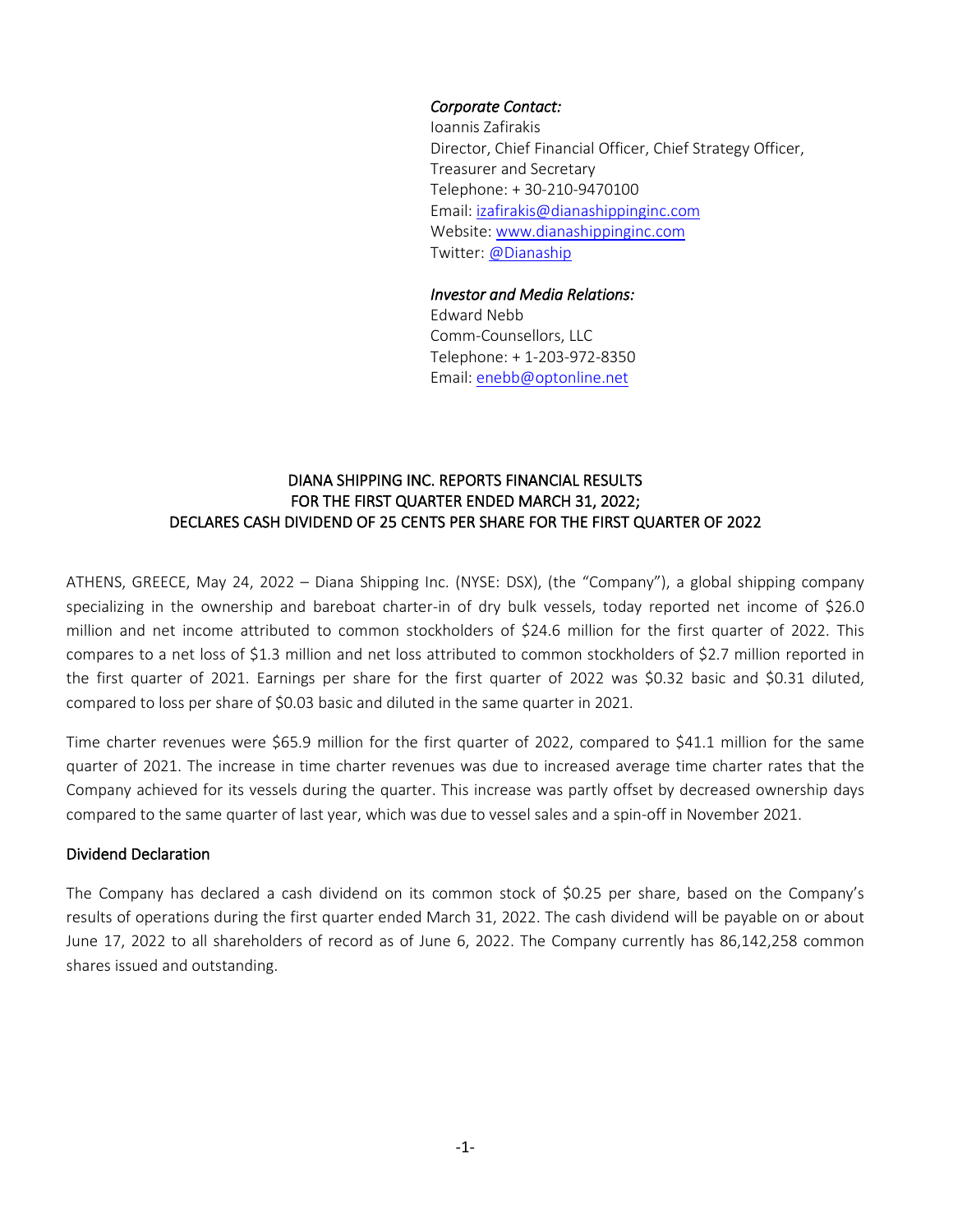### *Corporate Contact:*

Ioannis Zafirakis Director, Chief Financial Officer, Chief Strategy Officer, Treasurer and Secretary Telephone: + 30-210-9470100 Email: [izafirakis@dianashippinginc.com](mailto:izafirakis@dianashippinginc.com) Website: [www.dianashippinginc.com](http://www.dianashippinginc.com/) Twitter: [@Dianaship](https://twitter.com/Dianaship)

#### *Investor and Media Relations:*

Edward Nebb Comm-Counsellors, LLC Telephone: + 1-203-972-8350 Email: enebb@optonline.net

### DIANA SHIPPING INC. REPORTS FINANCIAL RESULTS FOR THE FIRST QUARTER ENDED MARCH 31, 2022; DECLARES CASH DIVIDEND OF 25 CENTS PER SHARE FOR THE FIRST QUARTER OF 2022

ATHENS, GREECE, May 24, 2022 – Diana Shipping Inc. (NYSE: DSX), (the "Company"), a global shipping company specializing in the ownership and bareboat charter-in of dry bulk vessels, today reported net income of \$26.0 million and net income attributed to common stockholders of \$24.6 million for the first quarter of 2022. This compares to a net loss of \$1.3 million and net loss attributed to common stockholders of \$2.7 million reported in the first quarter of 2021. Earnings per share for the first quarter of 2022 was \$0.32 basic and \$0.31 diluted, compared to loss per share of \$0.03 basic and diluted in the same quarter in 2021.

Time charter revenues were \$65.9 million for the first quarter of 2022, compared to \$41.1 million for the same quarter of 2021. The increase in time charter revenues was due to increased average time charter rates that the Company achieved for its vessels during the quarter. This increase was partly offset by decreased ownership days compared to the same quarter of last year, which was due to vessel sales and a spin-off in November 2021.

### Dividend Declaration

The Company has declared a cash dividend on its common stock of \$0.25 per share, based on the Company's results of operations during the first quarter ended March 31, 2022. The cash dividend will be payable on or about June 17, 2022 to all shareholders of record as of June 6, 2022. The Company currently has 86,142,258 common shares issued and outstanding.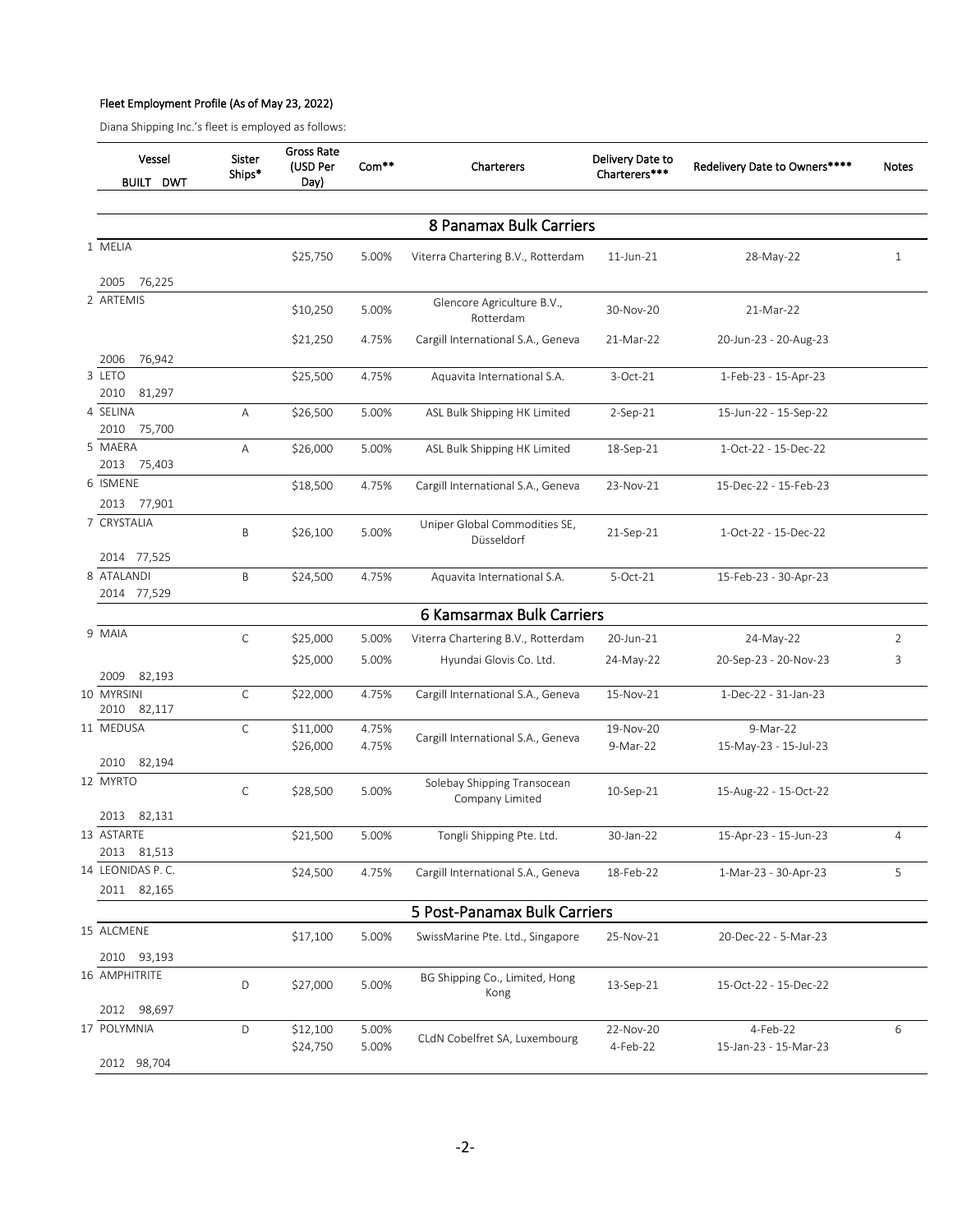#### Fleet Employment Profile (As of May 23, 2022)

Diana Shipping Inc.'s fleet is employed as follows:

| 8 Panamax Bulk Carriers<br>1 MELIA<br>\$25,750<br>5.00%<br>Viterra Chartering B.V., Rotterdam<br>$11$ -Jun- $21$<br>28-May-22<br>2005<br>76,225<br>2 ARTEMIS<br>Glencore Agriculture B.V.,<br>\$10,250<br>5.00%<br>30-Nov-20<br>21-Mar-22<br>Rotterdam<br>\$21,250<br>4.75%<br>Cargill International S.A., Geneva<br>21-Mar-22<br>20-Jun-23 - 20-Aug-23<br>76,942<br>2006<br>3 LETO<br>4.75%<br>\$25,500<br>Aquavita International S.A.<br>3-Oct-21<br>1-Feb-23 - 15-Apr-23 | $\mathbf{1}$   |
|-----------------------------------------------------------------------------------------------------------------------------------------------------------------------------------------------------------------------------------------------------------------------------------------------------------------------------------------------------------------------------------------------------------------------------------------------------------------------------|----------------|
|                                                                                                                                                                                                                                                                                                                                                                                                                                                                             |                |
|                                                                                                                                                                                                                                                                                                                                                                                                                                                                             |                |
|                                                                                                                                                                                                                                                                                                                                                                                                                                                                             |                |
|                                                                                                                                                                                                                                                                                                                                                                                                                                                                             |                |
|                                                                                                                                                                                                                                                                                                                                                                                                                                                                             |                |
|                                                                                                                                                                                                                                                                                                                                                                                                                                                                             |                |
|                                                                                                                                                                                                                                                                                                                                                                                                                                                                             |                |
|                                                                                                                                                                                                                                                                                                                                                                                                                                                                             |                |
| 2010<br>81,297<br>4 SELINA                                                                                                                                                                                                                                                                                                                                                                                                                                                  |                |
| Α<br>\$26,500<br>5.00%<br>ASL Bulk Shipping HK Limited<br>$2-Sep-21$<br>15-Jun-22 - 15-Sep-22<br>2010                                                                                                                                                                                                                                                                                                                                                                       |                |
| 75,700<br>5 MAERA<br>Α<br>\$26,000<br>5.00%<br>ASL Bulk Shipping HK Limited<br>1-Oct-22 - 15-Dec-22<br>18-Sep-21                                                                                                                                                                                                                                                                                                                                                            |                |
| 2013<br>75,403                                                                                                                                                                                                                                                                                                                                                                                                                                                              |                |
| 6 ISMENE<br>\$18,500<br>4.75%<br>Cargill International S.A., Geneva<br>15-Dec-22 - 15-Feb-23<br>23-Nov-21                                                                                                                                                                                                                                                                                                                                                                   |                |
| 2013 77,901                                                                                                                                                                                                                                                                                                                                                                                                                                                                 |                |
| 7 CRYSTALIA<br>Uniper Global Commodities SE,<br>B<br>5.00%<br>\$26,100<br>21-Sep-21<br>1-Oct-22 - 15-Dec-22<br>Düsseldorf                                                                                                                                                                                                                                                                                                                                                   |                |
| 2014 77,525                                                                                                                                                                                                                                                                                                                                                                                                                                                                 |                |
| 8 ATALANDI<br>B<br>4.75%<br>\$24,500<br>5-Oct-21<br>15-Feb-23 - 30-Apr-23<br>Aquavita International S.A.                                                                                                                                                                                                                                                                                                                                                                    |                |
| 2014 77,529                                                                                                                                                                                                                                                                                                                                                                                                                                                                 |                |
| 6 Kamsarmax Bulk Carriers                                                                                                                                                                                                                                                                                                                                                                                                                                                   |                |
| 9 MAIA<br>C<br>\$25,000<br>5.00%<br>Viterra Chartering B.V., Rotterdam<br>20-Jun-21<br>24-May-22                                                                                                                                                                                                                                                                                                                                                                            | 2              |
| \$25,000<br>5.00%<br>Hyundai Glovis Co. Ltd.<br>24-May-22<br>20-Sep-23 - 20-Nov-23                                                                                                                                                                                                                                                                                                                                                                                          | 3              |
| 82,193<br>2009                                                                                                                                                                                                                                                                                                                                                                                                                                                              |                |
| С<br>4.75%<br>1-Dec-22 - 31-Jan-23<br>10 MYRSINI<br>\$22,000<br>Cargill International S.A., Geneva<br>15-Nov-21                                                                                                                                                                                                                                                                                                                                                             |                |
| 2010<br>82,117                                                                                                                                                                                                                                                                                                                                                                                                                                                              |                |
| 11 MEDUSA<br>C<br>\$11,000<br>4.75%<br>19-Nov-20<br>9-Mar-22                                                                                                                                                                                                                                                                                                                                                                                                                |                |
| Cargill International S.A., Geneva<br>4.75%<br>\$26,000<br>9-Mar-22<br>15-May-23 - 15-Jul-23                                                                                                                                                                                                                                                                                                                                                                                |                |
| 82,194<br>2010                                                                                                                                                                                                                                                                                                                                                                                                                                                              |                |
| 12 MYRTO<br>Solebay Shipping Transocean<br>$\mathsf C$<br>\$28,500<br>5.00%<br>10-Sep-21<br>15-Aug-22 - 15-Oct-22<br>Company Limited                                                                                                                                                                                                                                                                                                                                        |                |
| 82,131<br>2013                                                                                                                                                                                                                                                                                                                                                                                                                                                              |                |
| 13 ASTARTE<br>\$21,500<br>5.00%<br>Tongli Shipping Pte. Ltd.<br>30-Jan-22<br>15-Apr-23 - 15-Jun-23                                                                                                                                                                                                                                                                                                                                                                          | $\overline{4}$ |
| 2013 81,513                                                                                                                                                                                                                                                                                                                                                                                                                                                                 |                |
| 14 LEONIDAS P.C.<br>4.75%<br>\$24,500<br>Cargill International S.A., Geneva<br>18-Feb-22<br>1-Mar-23 - 30-Apr-23                                                                                                                                                                                                                                                                                                                                                            | 5              |
| 2011 82,165                                                                                                                                                                                                                                                                                                                                                                                                                                                                 |                |
| 5 Post-Panamax Bulk Carriers                                                                                                                                                                                                                                                                                                                                                                                                                                                |                |
| 15 ALCMENE<br>\$17,100<br>5.00%<br>25-Nov-21<br>SwissMarine Pte. Ltd., Singapore<br>20-Dec-22 - 5-Mar-23                                                                                                                                                                                                                                                                                                                                                                    |                |
| 2010<br>93,193                                                                                                                                                                                                                                                                                                                                                                                                                                                              |                |
| 16 AMPHITRITE<br>BG Shipping Co., Limited, Hong<br>D<br>\$27,000<br>5.00%<br>13-Sep-21<br>15-Oct-22 - 15-Dec-22<br>Kong                                                                                                                                                                                                                                                                                                                                                     |                |
| 98,697<br>2012                                                                                                                                                                                                                                                                                                                                                                                                                                                              |                |
| 17 POLYMNIA<br>D<br>\$12,100<br>5.00%<br>22-Nov-20<br>4-Feb-22<br>CLdN Cobelfret SA, Luxembourg<br>\$24,750<br>5.00%<br>4-Feb-22<br>15-Jan-23 - 15-Mar-23                                                                                                                                                                                                                                                                                                                   | $6\,$          |
| 2012 98,704                                                                                                                                                                                                                                                                                                                                                                                                                                                                 |                |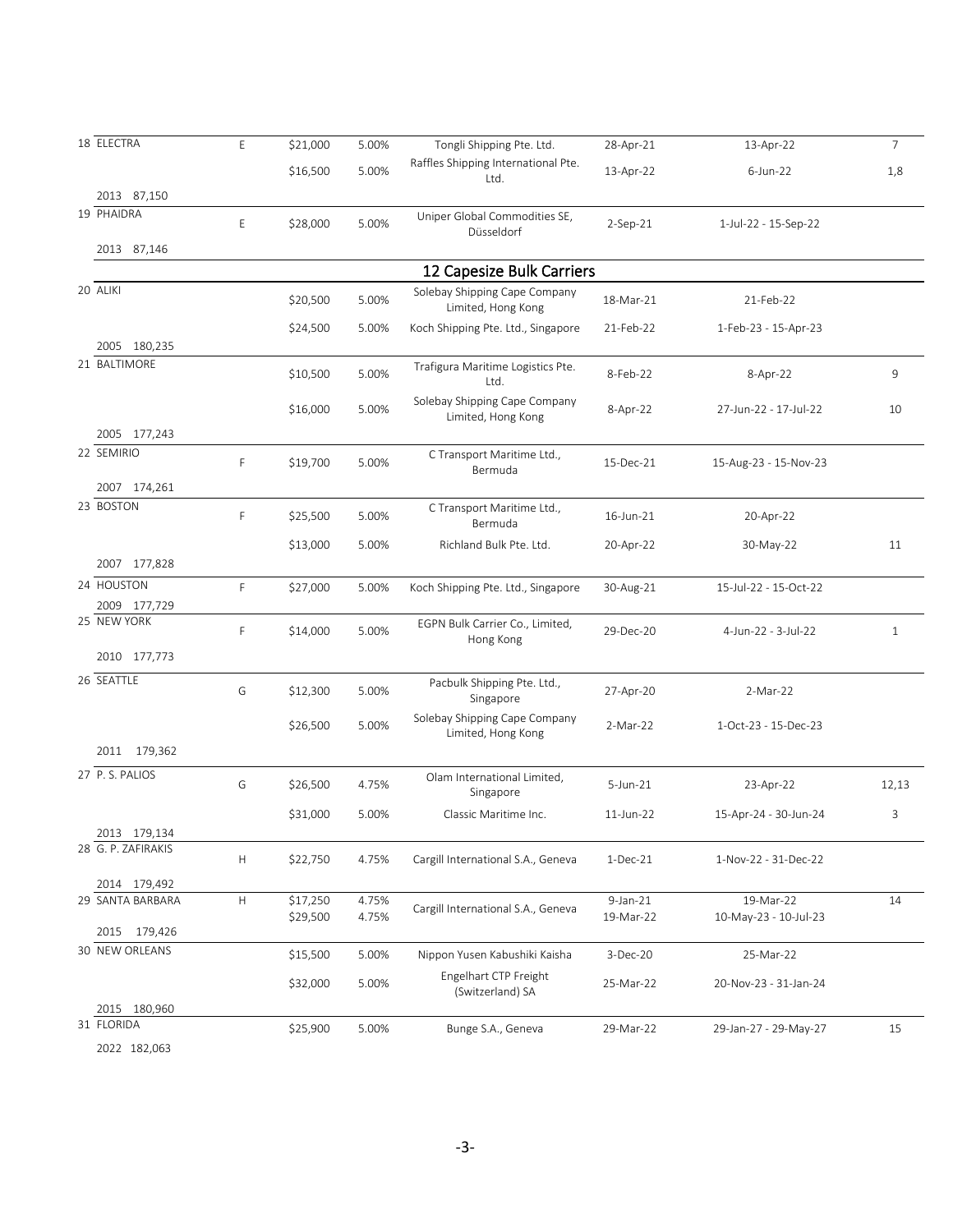| 18 ELECTRA         | E           | \$21,000             | 5.00%          | Tongli Shipping Pte. Ltd.                           | 28-Apr-21                | 13-Apr-22                          | $\overline{7}$ |
|--------------------|-------------|----------------------|----------------|-----------------------------------------------------|--------------------------|------------------------------------|----------------|
|                    |             | \$16,500             | 5.00%          | Raffles Shipping International Pte.<br>Ltd.         | 13-Apr-22                | $6$ -Jun-22                        | 1,8            |
| 2013 87,150        |             |                      |                |                                                     |                          |                                    |                |
| 19 PHAIDRA         | E           | \$28,000             | 5.00%          | Uniper Global Commodities SE,<br>Düsseldorf         | $2-Sep-21$               | 1-Jul-22 - 15-Sep-22               |                |
| 2013 87,146        |             |                      |                |                                                     |                          |                                    |                |
|                    |             |                      |                | 12 Capesize Bulk Carriers                           |                          |                                    |                |
| 20 ALIKI           |             | \$20,500             | 5.00%          | Solebay Shipping Cape Company<br>Limited, Hong Kong | 18-Mar-21                | 21-Feb-22                          |                |
|                    |             | \$24,500             | 5.00%          | Koch Shipping Pte. Ltd., Singapore                  | 21-Feb-22                | 1-Feb-23 - 15-Apr-23               |                |
| 2005 180,235       |             |                      |                |                                                     |                          |                                    |                |
| 21 BALTIMORE       |             | \$10,500             | 5.00%          | Trafigura Maritime Logistics Pte.<br>Ltd.           | 8-Feb-22                 | 8-Apr-22                           | 9              |
|                    |             | \$16,000             | 5.00%          | Solebay Shipping Cape Company<br>Limited, Hong Kong | 8-Apr-22                 | 27-Jun-22 - 17-Jul-22              | 10             |
| 2005 177,243       |             |                      |                |                                                     |                          |                                    |                |
| 22 SEMIRIO         | F           | \$19,700             | 5.00%          | C Transport Maritime Ltd.,<br>Bermuda               | 15-Dec-21                | 15-Aug-23 - 15-Nov-23              |                |
| 2007 174,261       |             |                      |                |                                                     |                          |                                    |                |
| 23 BOSTON          | F           | \$25,500             | 5.00%          | C Transport Maritime Ltd.,<br>Bermuda               | 16-Jun-21                | 20-Apr-22                          |                |
|                    |             | \$13,000             | 5.00%          | Richland Bulk Pte. Ltd.                             | 20-Apr-22                | 30-May-22                          | 11             |
| 2007 177,828       |             |                      |                |                                                     |                          |                                    |                |
| 24 HOUSTON         | F           | \$27,000             | 5.00%          | Koch Shipping Pte. Ltd., Singapore                  | 30-Aug-21                | 15-Jul-22 - 15-Oct-22              |                |
| 2009 177,729       |             |                      |                |                                                     |                          |                                    |                |
| 25 NEW YORK        | F           | \$14,000             | 5.00%          | EGPN Bulk Carrier Co., Limited,<br>Hong Kong        | 29-Dec-20                | 4-Jun-22 - 3-Jul-22                | $\mathbf{1}$   |
| 2010 177,773       |             |                      |                |                                                     |                          |                                    |                |
| 26 SEATTLE         | G           | \$12,300             | 5.00%          | Pacbulk Shipping Pte. Ltd.,<br>Singapore            | 27-Apr-20                | 2-Mar-22                           |                |
|                    |             | \$26,500             | 5.00%          | Solebay Shipping Cape Company<br>Limited, Hong Kong | 2-Mar-22                 | 1-Oct-23 - 15-Dec-23               |                |
| 2011 179,362       |             |                      |                |                                                     |                          |                                    |                |
| 27 P.S. PALIOS     | G           | \$26,500             | 4.75%          | Olam International Limited,<br>Singapore            | 5-Jun-21                 | 23-Apr-22                          | 12,13          |
|                    |             | \$31,000             | 5.00%          | Classic Maritime Inc.                               | 11-Jun-22                | 15-Apr-24 - 30-Jun-24              | 3              |
| 2013 179,134       |             |                      |                |                                                     |                          |                                    |                |
| 28 G. P. ZAFIRAKIS | Н           | \$22,750             | 4.75%          | Cargill International S.A., Geneva                  | $1-Dec-21$               | 1-Nov-22 - 31-Dec-22               |                |
| 2014 179,492       |             |                      |                |                                                     |                          |                                    |                |
| 29 SANTA BARBARA   | $\mathsf H$ | \$17,250<br>\$29,500 | 4.75%<br>4.75% | Cargill International S.A., Geneva                  | $9$ -Jan-21<br>19-Mar-22 | 19-Mar-22<br>10-May-23 - 10-Jul-23 | 14             |
| 2015 179,426       |             |                      |                |                                                     |                          |                                    |                |
| 30 NEW ORLEANS     |             | \$15,500             | 5.00%          | Nippon Yusen Kabushiki Kaisha                       | 3-Dec-20                 | 25-Mar-22                          |                |
|                    |             | \$32,000             | 5.00%          | Engelhart CTP Freight<br>(Switzerland) SA           | 25-Mar-22                | 20-Nov-23 - 31-Jan-24              |                |
| 2015 180,960       |             |                      |                |                                                     |                          |                                    |                |
| 31 FLORIDA         |             | \$25,900             | 5.00%          | Bunge S.A., Geneva                                  | 29-Mar-22                | 29-Jan-27 - 29-May-27              | 15             |
| 2022 182,063       |             |                      |                |                                                     |                          |                                    |                |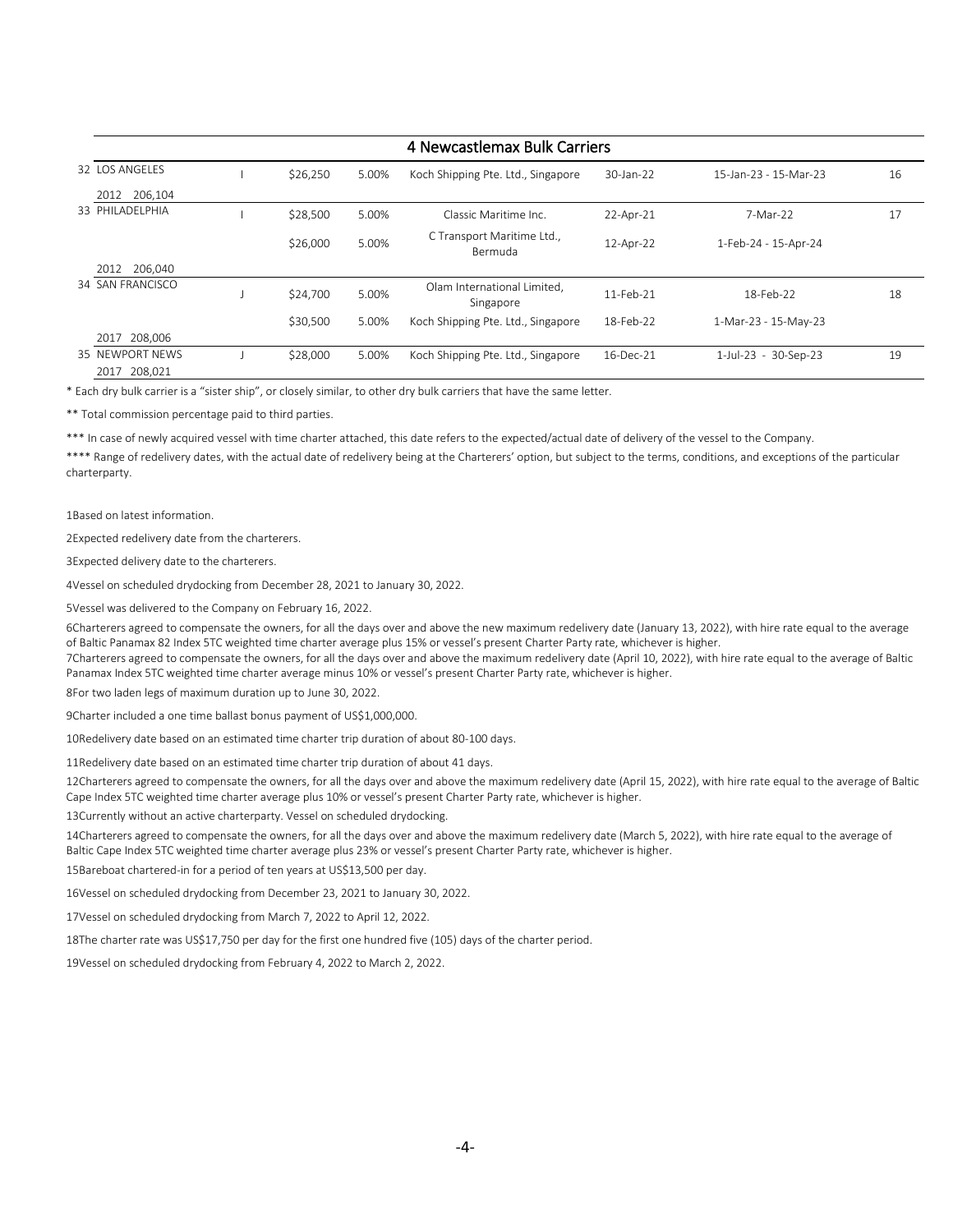| 4 Newcastlemax Bulk Carriers |  |          |       |                                          |             |                       |    |
|------------------------------|--|----------|-------|------------------------------------------|-------------|-----------------------|----|
| 32 LOS ANGELES               |  | \$26,250 | 5.00% | Koch Shipping Pte. Ltd., Singapore       | 30-Jan-22   | 15-Jan-23 - 15-Mar-23 | 16 |
| 206,104<br>2012              |  |          |       |                                          |             |                       |    |
| 33 PHILADELPHIA              |  | \$28,500 | 5.00% | Classic Maritime Inc.                    | 22-Apr-21   | 7-Mar-22              | 17 |
|                              |  | \$26,000 | 5.00% | C Transport Maritime Ltd.,<br>Bermuda    | 12-Apr-22   | 1-Feb-24 - 15-Apr-24  |    |
| 206.040<br>2012              |  |          |       |                                          |             |                       |    |
| 34 SAN FRANCISCO             |  | \$24,700 | 5.00% | Olam International Limited,<br>Singapore | 11-Feb-21   | 18-Feb-22             | 18 |
|                              |  | \$30,500 | 5.00% | Koch Shipping Pte. Ltd., Singapore       | 18-Feb-22   | 1-Mar-23 - 15-May-23  |    |
| 208,006<br>2017              |  |          |       |                                          |             |                       |    |
| 35 NEWPORT NEWS              |  | \$28,000 | 5.00% | Koch Shipping Pte. Ltd., Singapore       | $16-Dec-21$ | 1-Jul-23 - 30-Sep-23  | 19 |
| 2017 208,021                 |  |          |       |                                          |             |                       |    |

\* Each dry bulk carrier is a "sister ship", or closely similar, to other dry bulk carriers that have the same letter.

\*\* Total commission percentage paid to third parties.

\*\*\* In case of newly acquired vessel with time charter attached, this date refers to the expected/actual date of delivery of the vessel to the Company.

\*\*\*\* Range of redelivery dates, with the actual date of redelivery being at the Charterers' option, but subject to the terms, conditions, and exceptions of the particular charterparty.

1Based on latest information.

2Expected redelivery date from the charterers.

3Expected delivery date to the charterers.

4Vessel on scheduled drydocking from December 28, 2021 to January 30, 2022.

5Vessel was delivered to the Company on February 16, 2022.

6Charterers agreed to compensate the owners, for all the days over and above the new maximum redelivery date (January 13, 2022), with hire rate equal to the average of Baltic Panamax 82 Index 5TC weighted time charter average plus 15% or vessel's present Charter Party rate, whichever is higher.

7Charterers agreed to compensate the owners, for all the days over and above the maximum redelivery date (April 10, 2022), with hire rate equal to the average of Baltic Panamax Index 5TC weighted time charter average minus 10% or vessel's present Charter Party rate, whichever is higher.

8For two laden legs of maximum duration up to June 30, 2022.

9Charter included a one time ballast bonus payment of US\$1,000,000.

10Redelivery date based on an estimated time charter trip duration of about 80-100 days.

11Redelivery date based on an estimated time charter trip duration of about 41 days.

12Charterers agreed to compensate the owners, for all the days over and above the maximum redelivery date (April 15, 2022), with hire rate equal to the average of Baltic Cape Index 5TC weighted time charter average plus 10% or vessel's present Charter Party rate, whichever is higher.

13Currently without an active charterparty. Vessel on scheduled drydocking.

14Charterers agreed to compensate the owners, for all the days over and above the maximum redelivery date (March 5, 2022), with hire rate equal to the average of Baltic Cape Index 5TC weighted time charter average plus 23% or vessel's present Charter Party rate, whichever is higher.

15Bareboat chartered-in for a period of ten years at US\$13,500 per day.

16Vessel on scheduled drydocking from December 23, 2021 to January 30, 2022.

17Vessel on scheduled drydocking from March 7, 2022 to April 12, 2022.

18The charter rate was US\$17,750 per day for the first one hundred five (105) days of the charter period.

19Vessel on scheduled drydocking from February 4, 2022 to March 2, 2022.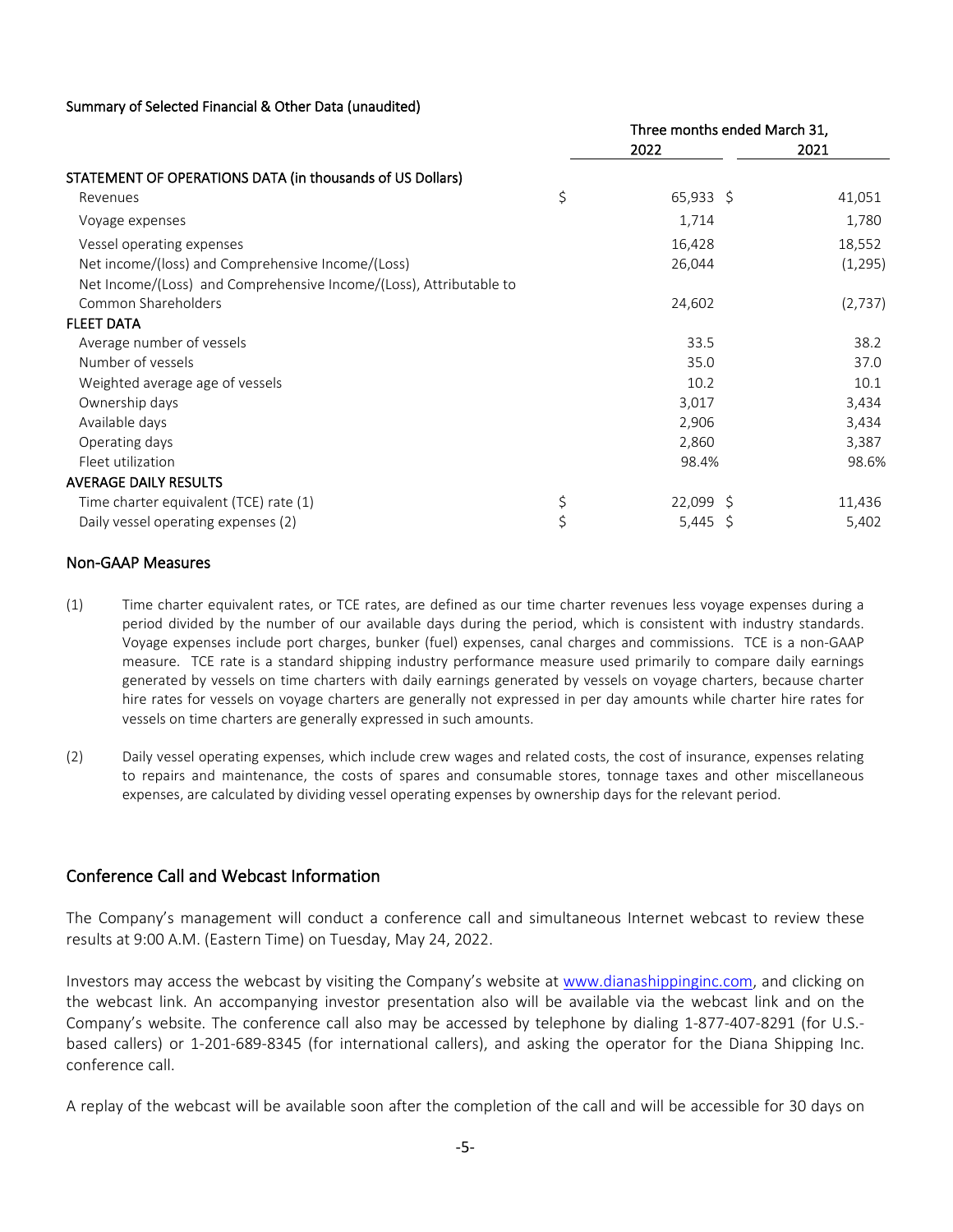#### Summary of Selected Financial & Other Data (unaudited)

|                                                                    | Three months ended March 31, |         |  |
|--------------------------------------------------------------------|------------------------------|---------|--|
|                                                                    | 2022                         | 2021    |  |
| STATEMENT OF OPERATIONS DATA (in thousands of US Dollars)          |                              |         |  |
| Revenues                                                           | \$<br>$65,933$ \$            | 41,051  |  |
| Voyage expenses                                                    | 1,714                        | 1,780   |  |
| Vessel operating expenses                                          | 16,428                       | 18,552  |  |
| Net income/(loss) and Comprehensive Income/(Loss)                  | 26,044                       | (1,295) |  |
| Net Income/(Loss) and Comprehensive Income/(Loss), Attributable to |                              |         |  |
| Common Shareholders                                                | 24,602                       | (2,737) |  |
| <b>FLEET DATA</b>                                                  |                              |         |  |
| Average number of vessels                                          | 33.5                         | 38.2    |  |
| Number of vessels                                                  | 35.0                         | 37.0    |  |
| Weighted average age of vessels                                    | 10.2                         | 10.1    |  |
| Ownership days                                                     | 3,017                        | 3,434   |  |
| Available days                                                     | 2,906                        | 3,434   |  |
| Operating days                                                     | 2,860                        | 3,387   |  |
| Fleet utilization                                                  | 98.4%                        | 98.6%   |  |
| <b>AVERAGE DAILY RESULTS</b>                                       |                              |         |  |
| Time charter equivalent (TCE) rate (1)                             | \$<br>$22,099$ \$            | 11,436  |  |
| Daily vessel operating expenses (2)                                | \$<br>5,445 \$               | 5,402   |  |

#### Non-GAAP Measures

- (1) Time charter equivalent rates, or TCE rates, are defined as our time charter revenues less voyage expenses during a period divided by the number of our available days during the period, which is consistent with industry standards. Voyage expenses include port charges, bunker (fuel) expenses, canal charges and commissions. TCE is a non-GAAP measure. TCE rate is a standard shipping industry performance measure used primarily to compare daily earnings generated by vessels on time charters with daily earnings generated by vessels on voyage charters, because charter hire rates for vessels on voyage charters are generally not expressed in per day amounts while charter hire rates for vessels on time charters are generally expressed in such amounts.
- (2) Daily vessel operating expenses, which include crew wages and related costs, the cost of insurance, expenses relating to repairs and maintenance, the costs of spares and consumable stores, tonnage taxes and other miscellaneous expenses, are calculated by dividing vessel operating expenses by ownership days for the relevant period.

### Conference Call and Webcast Information

The Company's management will conduct a conference call and simultaneous Internet webcast to review these results at 9:00 A.M. (Eastern Time) on Tuesday, May 24, 2022.

Investors may access the webcast by visiting the Company's website at www.dianashippinginc.com, and clicking on the webcast link. An accompanying investor presentation also will be available via the webcast link and on the Company's website. The conference call also may be accessed by telephone by dialing 1-877-407-8291 (for U.S. based callers) or 1-201-689-8345 (for international callers), and asking the operator for the Diana Shipping Inc. conference call.

A replay of the webcast will be available soon after the completion of the call and will be accessible for 30 days on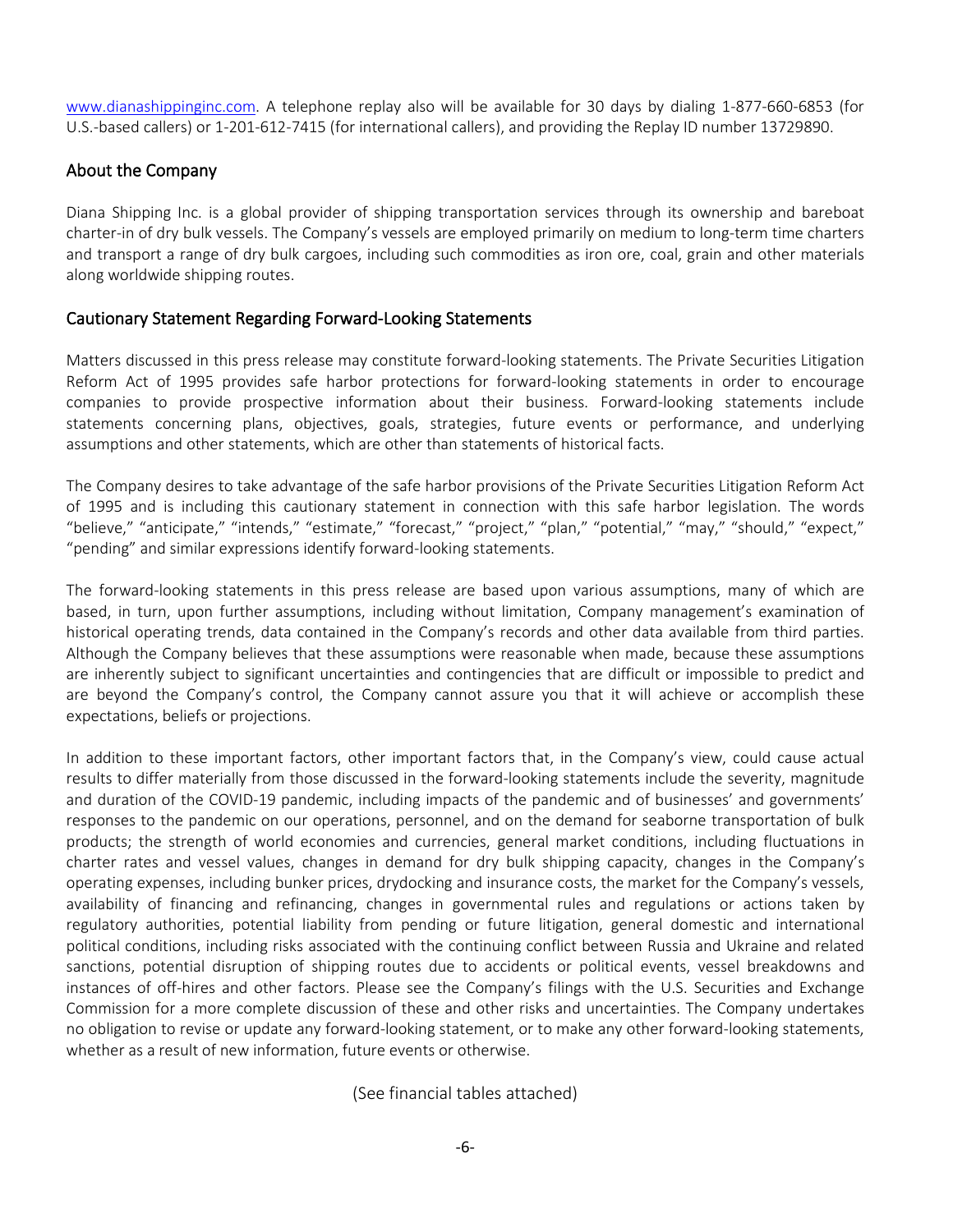www.dianashippinginc.com. A telephone replay also will be available for 30 days by dialing 1-877-660-6853 (for U.S.-based callers) or 1-201-612-7415 (for international callers), and providing the Replay ID number 13729890.

# About the Company

Diana Shipping Inc. is a global provider of shipping transportation services through its ownership and bareboat charter-in of dry bulk vessels. The Company's vessels are employed primarily on medium to long-term time charters and transport a range of dry bulk cargoes, including such commodities as iron ore, coal, grain and other materials along worldwide shipping routes.

# Cautionary Statement Regarding Forward-Looking Statements

Matters discussed in this press release may constitute forward-looking statements. The Private Securities Litigation Reform Act of 1995 provides safe harbor protections for forward-looking statements in order to encourage companies to provide prospective information about their business. Forward-looking statements include statements concerning plans, objectives, goals, strategies, future events or performance, and underlying assumptions and other statements, which are other than statements of historical facts.

The Company desires to take advantage of the safe harbor provisions of the Private Securities Litigation Reform Act of 1995 and is including this cautionary statement in connection with this safe harbor legislation. The words "believe," "anticipate," "intends," "estimate," "forecast," "project," "plan," "potential," "may," "should," "expect," "pending" and similar expressions identify forward-looking statements.

The forward-looking statements in this press release are based upon various assumptions, many of which are based, in turn, upon further assumptions, including without limitation, Company management's examination of historical operating trends, data contained in the Company's records and other data available from third parties. Although the Company believes that these assumptions were reasonable when made, because these assumptions are inherently subject to significant uncertainties and contingencies that are difficult or impossible to predict and are beyond the Company's control, the Company cannot assure you that it will achieve or accomplish these expectations, beliefs or projections.

In addition to these important factors, other important factors that, in the Company's view, could cause actual results to differ materially from those discussed in the forward-looking statements include the severity, magnitude and duration of the COVID-19 pandemic, including impacts of the pandemic and of businesses' and governments' responses to the pandemic on our operations, personnel, and on the demand for seaborne transportation of bulk products; the strength of world economies and currencies, general market conditions, including fluctuations in charter rates and vessel values, changes in demand for dry bulk shipping capacity, changes in the Company's operating expenses, including bunker prices, drydocking and insurance costs, the market for the Company's vessels, availability of financing and refinancing, changes in governmental rules and regulations or actions taken by regulatory authorities, potential liability from pending or future litigation, general domestic and international political conditions, including risks associated with the continuing conflict between Russia and Ukraine and related sanctions, potential disruption of shipping routes due to accidents or political events, vessel breakdowns and instances of off-hires and other factors. Please see the Company's filings with the U.S. Securities and Exchange Commission for a more complete discussion of these and other risks and uncertainties. The Company undertakes no obligation to revise or update any forward-looking statement, or to make any other forward-looking statements, whether as a result of new information, future events or otherwise.

(See financial tables attached)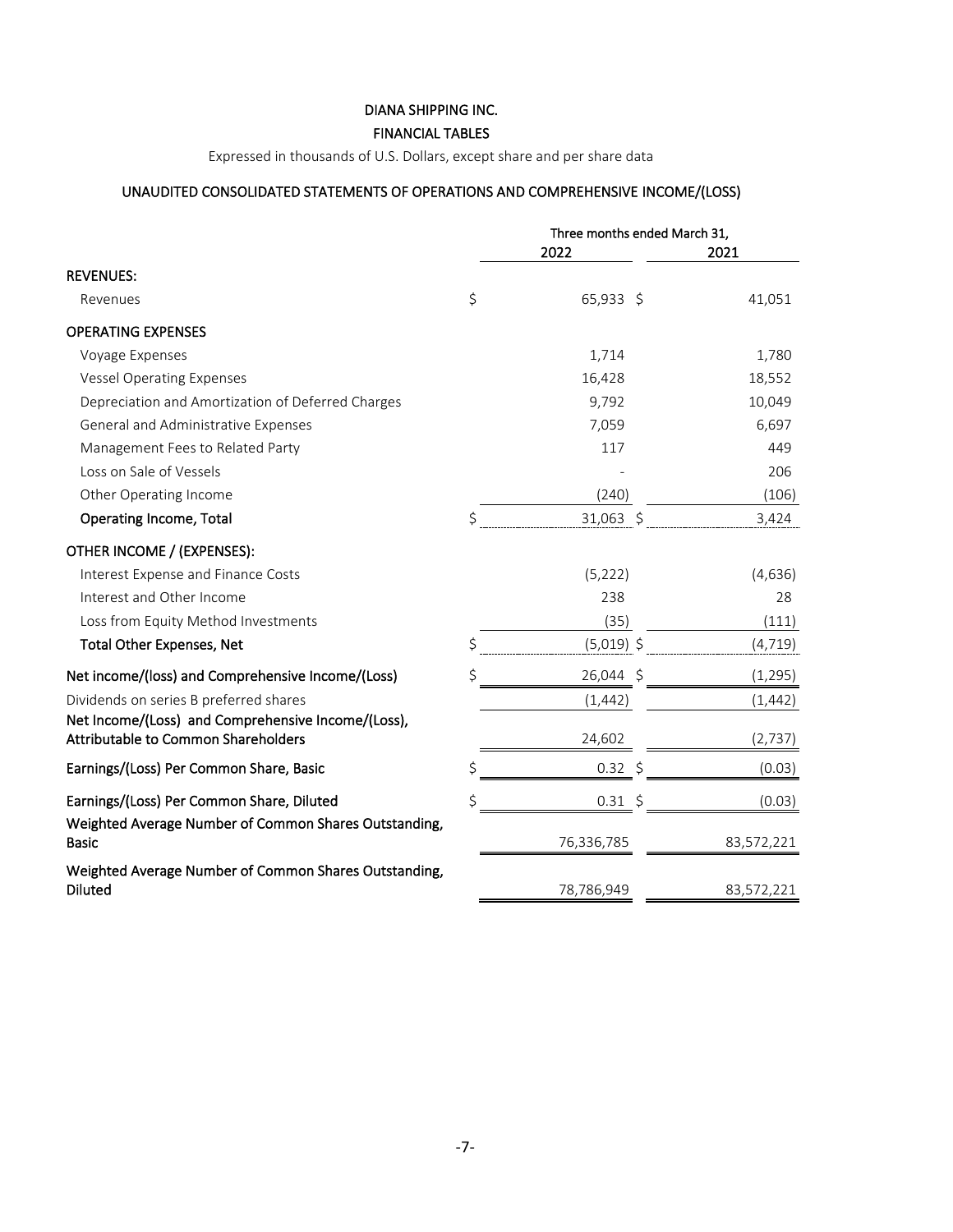### DIANA SHIPPING INC.

### FINANCIAL TABLES

Expressed in thousands of U.S. Dollars, except share and per share data

# UNAUDITED CONSOLIDATED STATEMENTS OF OPERATIONS AND COMPREHENSIVE INCOME/(LOSS)

|                                                                                           | Three months ended March 31, |  |            |
|-------------------------------------------------------------------------------------------|------------------------------|--|------------|
|                                                                                           | 2022                         |  | 2021       |
| <b>REVENUES:</b>                                                                          |                              |  |            |
| Revenues                                                                                  | \$<br>65,933 \$              |  | 41,051     |
| <b>OPERATING EXPENSES</b>                                                                 |                              |  |            |
| Voyage Expenses                                                                           | 1,714                        |  | 1,780      |
| <b>Vessel Operating Expenses</b>                                                          | 16,428                       |  | 18,552     |
| Depreciation and Amortization of Deferred Charges                                         | 9,792                        |  | 10,049     |
| General and Administrative Expenses                                                       | 7,059                        |  | 6,697      |
| Management Fees to Related Party                                                          | 117                          |  | 449        |
| Loss on Sale of Vessels                                                                   |                              |  | 206        |
| Other Operating Income                                                                    | (240)                        |  | (106)      |
| <b>Operating Income, Total</b>                                                            | \$<br>31,063 \$              |  | 3,424      |
| OTHER INCOME / (EXPENSES):                                                                |                              |  |            |
| Interest Expense and Finance Costs                                                        | (5, 222)                     |  | (4,636)    |
| Interest and Other Income                                                                 | 238                          |  | 28         |
| Loss from Equity Method Investments                                                       | (35)                         |  | (111)      |
| <b>Total Other Expenses, Net</b>                                                          | \$<br>$(5,019)$ \$           |  | (4, 719)   |
| Net income/(loss) and Comprehensive Income/(Loss)                                         | \$<br>26,044 \$              |  | (1, 295)   |
| Dividends on series B preferred shares                                                    | (1, 442)                     |  | (1, 442)   |
| Net Income/(Loss) and Comprehensive Income/(Loss),<br>Attributable to Common Shareholders | 24,602                       |  | (2, 737)   |
| Earnings/(Loss) Per Common Share, Basic                                                   | \$<br>$0.32 \div$            |  | (0.03)     |
| Earnings/(Loss) Per Common Share, Diluted                                                 | $0.31 \; \simeq$             |  | (0.03)     |
| Weighted Average Number of Common Shares Outstanding,<br><b>Basic</b>                     | 76,336,785                   |  | 83,572,221 |
| Weighted Average Number of Common Shares Outstanding,<br><b>Diluted</b>                   | 78,786,949                   |  | 83,572,221 |